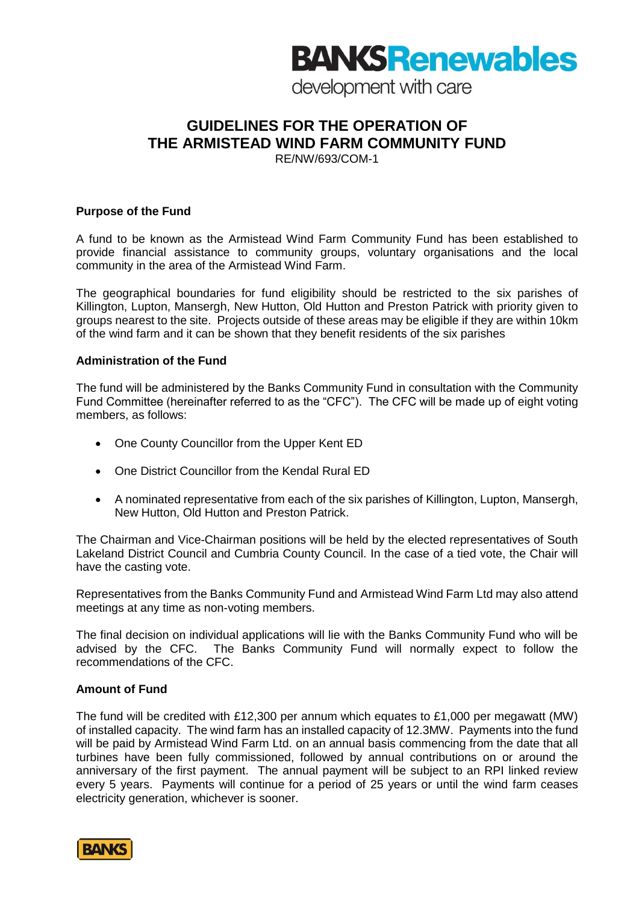# **BANKS Renewables**

development with care

# **GUIDELINES FOR THE OPERATION OF THE ARMISTEAD WIND FARM COMMUNITY FUND**

RE/NW/693/COM-1

### **Purpose of the Fund**

A fund to be known as the Armistead Wind Farm Community Fund has been established to provide financial assistance to community groups, voluntary organisations and the local community in the area of the Armistead Wind Farm.

The geographical boundaries for fund eligibility should be restricted to the six parishes of Killington, Lupton, Mansergh, New Hutton, Old Hutton and Preston Patrick with priority given to groups nearest to the site. Projects outside of these areas may be eligible if they are within 10km of the wind farm and it can be shown that they benefit residents of the six parishes

#### **Administration of the Fund**

The fund will be administered by the Banks Community Fund in consultation with the Community Fund Committee (hereinafter referred to as the "CFC"). The CFC will be made up of eight voting members, as follows:

- One County Councillor from the Upper Kent ED
- One District Councillor from the Kendal Rural ED
- A nominated representative from each of the six parishes of Killington, Lupton, Mansergh, New Hutton, Old Hutton and Preston Patrick.

The Chairman and Vice-Chairman positions will be held by the elected representatives of South Lakeland District Council and Cumbria County Council. In the case of a tied vote, the Chair will have the casting vote.

Representatives from the Banks Community Fund and Armistead Wind Farm Ltd may also attend meetings at any time as non-voting members.

The final decision on individual applications will lie with the Banks Community Fund who will be advised by the CFC. The Banks Community Fund will normally expect to follow the recommendations of the CFC.

# **Amount of Fund**

The fund will be credited with £12,300 per annum which equates to £1,000 per megawatt (MW) of installed capacity. The wind farm has an installed capacity of 12.3MW. Payments into the fund will be paid by Armistead Wind Farm Ltd. on an annual basis commencing from the date that all turbines have been fully commissioned, followed by annual contributions on or around the anniversary of the first payment. The annual payment will be subject to an RPI linked review every 5 years. Payments will continue for a period of 25 years or until the wind farm ceases electricity generation, whichever is sooner.

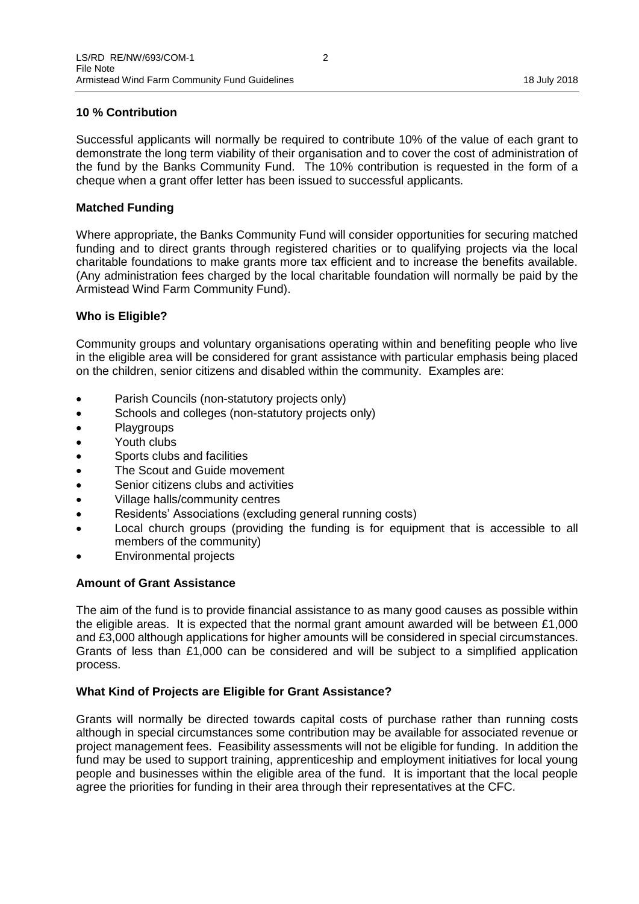# **10 % Contribution**

Successful applicants will normally be required to contribute 10% of the value of each grant to demonstrate the long term viability of their organisation and to cover the cost of administration of the fund by the Banks Community Fund. The 10% contribution is requested in the form of a cheque when a grant offer letter has been issued to successful applicants.

#### **Matched Funding**

Where appropriate, the Banks Community Fund will consider opportunities for securing matched funding and to direct grants through registered charities or to qualifying projects via the local charitable foundations to make grants more tax efficient and to increase the benefits available. (Any administration fees charged by the local charitable foundation will normally be paid by the Armistead Wind Farm Community Fund).

#### **Who is Eligible?**

Community groups and voluntary organisations operating within and benefiting people who live in the eligible area will be considered for grant assistance with particular emphasis being placed on the children, senior citizens and disabled within the community. Examples are:

- Parish Councils (non-statutory projects only)
- Schools and colleges (non-statutory projects only)
- Playgroups
- Youth clubs
- Sports clubs and facilities
- The Scout and Guide movement
- Senior citizens clubs and activities
- Village halls/community centres
- Residents' Associations (excluding general running costs)
- Local church groups (providing the funding is for equipment that is accessible to all members of the community)
- Environmental projects

#### **Amount of Grant Assistance**

The aim of the fund is to provide financial assistance to as many good causes as possible within the eligible areas. It is expected that the normal grant amount awarded will be between £1,000 and £3,000 although applications for higher amounts will be considered in special circumstances. Grants of less than £1,000 can be considered and will be subject to a simplified application process.

#### **What Kind of Projects are Eligible for Grant Assistance?**

Grants will normally be directed towards capital costs of purchase rather than running costs although in special circumstances some contribution may be available for associated revenue or project management fees. Feasibility assessments will not be eligible for funding. In addition the fund may be used to support training, apprenticeship and employment initiatives for local young people and businesses within the eligible area of the fund. It is important that the local people agree the priorities for funding in their area through their representatives at the CFC.